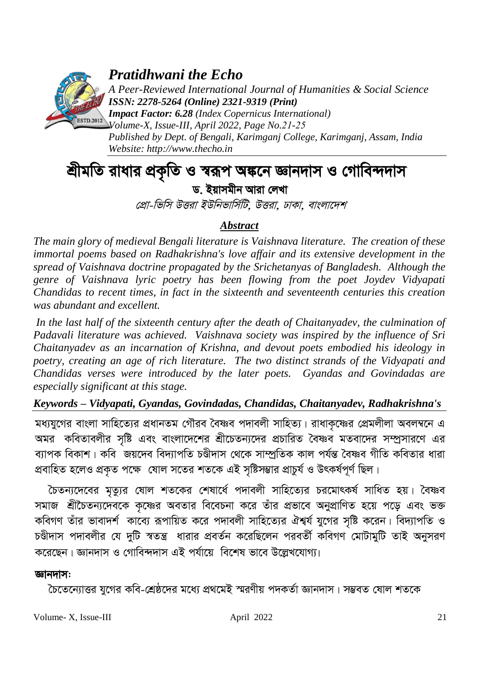

*Pratidhwani the Echo*

*A Peer-Reviewed International Journal of Humanities & Social Science ISSN: 2278-5264 (Online) 2321-9319 (Print)*

*Impact Factor: 6.28 (Index Copernicus International) Volume-X, Issue-III, April 2022, Page No.21-25 Published by Dept. of Bengali, Karimganj College, Karimganj, Assam, India Website: [http://www.thecho.in](http://www.thecho.in/)*

# *শ্ৰীমতি* রাধার প্রকৃতি ও স্বরূপ অঙ্কনে জ্ঞানদাস ও গোবিন্দদাস *ড. ইয়াসমীন আরা লেখা*

*প্রো-ভিসি উত্তরা ইউনিভার্সিটি. উত্তরা, ঢাকা, বাংলাদেশ* 

## *Abstract*

*The main glory of medieval Bengali literature is Vaishnava literature. The creation of these immortal poems based on Radhakrishna's love affair and its extensive development in the spread of Vaishnava doctrine propagated by the Srichetanyas of Bangladesh. Although the genre of Vaishnava lyric poetry has been flowing from the poet Joydev Vidyapati Chandidas to recent times, in fact in the sixteenth and seventeenth centuries this creation was abundant and excellent.*

*In the last half of the sixteenth century after the death of Chaitanyadev, the culmination of Padavali literature was achieved. Vaishnava society was inspired by the influence of Sri Chaitanyadev as an incarnation of Krishna, and devout poets embodied his ideology in poetry, creating an age of rich literature. The two distinct strands of the Vidyapati and Chandidas verses were introduced by the later poets. Gyandas and Govindadas are especially significant at this stage.*

## *Keywords – Vidyapati, Gyandas, Govindadas, Chandidas, Chaitanyadev, Radhakrishna's*

মধ্যযুগের বাংলা সাহিত্যের প্রধানতম গৌরব বৈষ্ণব পদাবলী সাহিত্য। রাধাকৃষ্ণের প্রেমলীলা অবলম্বনে এ <sup>ন</sup> কবিতাবলীর সষ্টি এবং বাংলাদেশের শ্রীচেতন্যদের প্রচারিত বৈষ্ণব মতবাদের সম্প্রসারণে এর *ব্যাপক বিকাশ*। কবি <sup>`</sup>জয়দেব বিদ্যাপতি চণ্ডীদাস থেকে সাম্প্ৰতিক কাল পৰ্যন্ত বৈষ্ণব গীতি কবিতার ধারা প্রবাহিত হলেও প্রকৃত পক্ষে যোল সতের শতকে এই সৃষ্টিসম্ভার প্রাচুর্য ও উৎকর্ষপূর্ণ ছিল।

 $\overline{c}$ চতন্যদেবের মৃত্যুর ষোল শতকের শেষার্ধে পদাবলী সাহিত্যের চরমোৎকর্ষ সাধিত হয়। বৈষ্ণব সমাজ শ্রীচৈতন্যদেবকে কৃষ্ণের অবতার বিবেচনা করে তাঁর প্রভাবে অনুপ্রাণিত হয়ে পড়ে এবং ভক্ত কবিগণ তাঁর ভাবাদর্শ কাব্যে রূপায়িত করে পদাবলী সাহিত্যের ঐশ্বর্য যুগের সষ্টি করেন। বিদ্যাপতি ও *চ*ঞ্জীদাস পদাবলীর যে দুটি স্বতন্ত্র ধারার প্রবর্তন করেছিলেন পরবর্তী কবিগণ মোটামুটি তাই অনুসরণ করেছেন। জ্ঞানদাস ও গোবিন্দদাস এই পর্যায়ে বিশেষ ভাবে উল্লেখযোগ্য।

## *ড্*ৱানদাস:

 $\overline{c}$ চতেন্যোত্তর যুগের কবি-শ্রেষ্ঠদের মধ্যে প্রথমেই স্মরণীয় পদকর্তা জ্ঞানদাস। সম্ভবত ষোল শতকে

Volume- X, Issue-III april 2022 21 21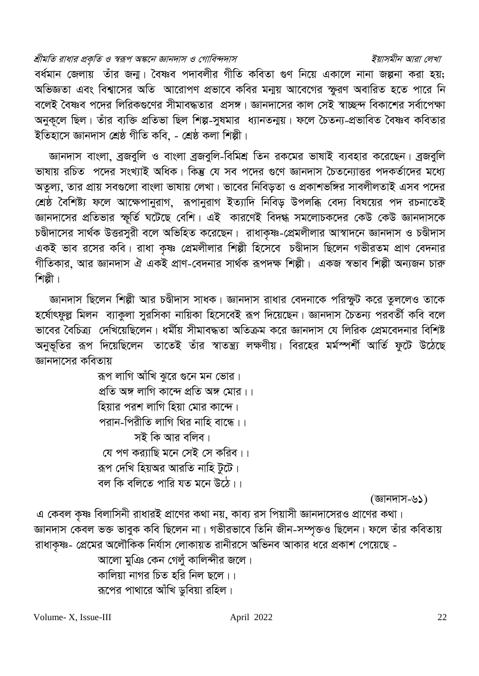### শ্রীমতি রাধার প্রকৃতি ও স্বরূপ অঙ্কনে জ্ঞানদাস ও গোবিন্দদাস

## বর্ধমান জেলায় তাঁর জনা। বৈষ্ণব পদাবলীর গীতি কবিতা গুণ নিয়ে একালে নানা জল্পনা করা হয়: অভিজ্ঞতা এবং বিশ্বাসের অতি আরোপণ প্রভাবে কবির মন্ময় আবেগের স্ফুরণ অবারিত হতে পারে নি বলেই বৈষ্ণব পদের লিরিকগুণের সীমাবদ্ধতার প্রসঙ্গ। জ্ঞানদাসের কাল সেই স্বাচ্ছন্দ বিকাশের সর্বাপেক্ষা অনকলে ছিল। তাঁর ব্যক্তি প্রতিভা ছিল শিল্প-সষমার ধ্যানতনায়। ফলে চৈতন্য-প্রভাবিত বৈষ্ণব কবিতার ইতিহাসে জ্ঞানদাস শ্ৰেষ্ঠ গীতি কবি. - শ্ৰেষ্ঠ কলা শিল্পী।

জ্ঞানদাস বাংলা, ব্রজবুলি ও বাংলা ব্রজবুলি-বিমিশ্র তিন রকমের ভাষাই ব্যবহার করেছেন। ব্রজবুলি ভাষায় রচিত পদের সংখ্যাই অধিক। কিন্তু যে সব পদের গুণে জ্ঞানদাস চৈতন্যোত্তর পদকর্তাদের মধ্যে অতল্য, তার প্রায় সবগুলো বাংলা ভাষায় লেখা। ভাবের নিবিডতা ও প্রকাশভঙ্গির সাবলীলতাই এসব পদের শ্রেষ্ঠ বৈশিষ্ট্য ফলে আক্ষেপানুরাগ, রূপানুরাগ ইত্যাদি নিবিড় উপলব্ধি বেদ্য বিষয়ের পদ রচনাতেই জ্ঞানদাসের প্রতিভার স্ফর্তি ঘটেছে বেশি। এই কারণেই বিদগ্ধ সমলোচকদের কেউ কেউ জ্ঞানদাসকে চণ্ডীদাসের সার্থক উত্তরসুরী বলে অভিহিত করেছেন। রাধাকৃষ্ণ-প্রেমলীলার আস্বাদনে জ্ঞানদাস ও চণ্ডীদাস একই ভাব রসের কবি। রাধা কৃষ্ণ প্রেমলীলার শিল্পী হিসেবে চণ্ডীদাস ছিলেন গভীরতম প্রাণ বেদনার গীতিকার, আর জ্ঞানদাস ঐ একই প্রাণ-বেদনার সার্থক রূপদক্ষ শিল্পী। একজ স্বভাব শিল্পী অন্যজন চারু শিল্পী।

জ্ঞানদাস ছিলেন শিল্পী আর চণ্ডীদাস সাধক। জ্ঞানদাস রাধার বেদনাকে পরিস্ফুট করে তুললেও তাকে হর্ষোৎফুল্ল মিলন ব্যাকুলা সুরসিকা নায়িকা হিসেবেই রূপ দিয়েছেন। জ্ঞানদাস চৈতন্য পরবর্তী কবি বলে ভাবের বৈচিত্র্য দেখিয়েছিলেন। ধর্মীয় সীমাবদ্ধতা অতিক্রম করে জ্ঞানদাস যে লিরিক প্রেমবেদনার বিশিষ্ট অনুভূতির রূপ দিয়েছিলেন তাতেই তাঁর স্বাতন্ত্র্য লক্ষণীয়। বিরহের মর্মস্পর্শী আর্তি ফুটে উঠেছে জ্ঞানদাসের কবিতায়

> রূপ লাগি আঁখি ঝুরে গুনে মন ভোর। প্রতি অঙ্গ লাগি কান্দে প্রতি অঙ্গ মোর।। হিয়ার পরশ লাগি হিয়া মোর কান্দে। পরান-পিরীতি লাগি থির নাহি বান্ধে।। সই কি আর বলিব। যে পণ কর্যাছি মনে সেই সে করিব।। রূপ দেখি হিয়অর আরতি নাহি টুটে। বল কি বলিতে পারি যত মনে উঠে।।

> > (জ্ঞানদাস-৬১)

এ কেবল কষ্ণ বিলাসিনী রাধারই প্রাণের কথা নয়, কাব্য রস পিয়াসী জ্ঞানদাসেরও প্রাণের কথা। জ্ঞানদাস কেবল ভক্ত ভাবুক কবি ছিলেন না। গভীরভাবে তিনি জীন-সম্পৃক্তও ছিলেন। ফলে তাঁর কবিতায় রাধাকৃষ্ণ- প্রেমের অলৌকিক নির্যাস লোকায়ত রানীরসে অভিনব আকার ধরে প্রকাশ পেয়েছে -

> আলো মুঞি কেন গেলুঁ কালিন্দীর জলে। কালিয়া নাগর চিত হরি নিল ছলে।। রূপের পাথারে আঁখি ডুবিয়া রহিল।

#### ইয়াসমীন আরা লেখা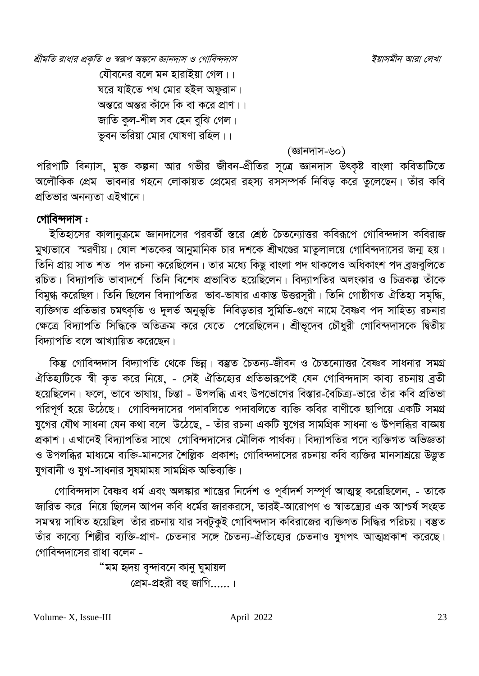শ্রীমতি রাধার প্রকৃতি ও স্বরূপ অঙ্কনে জ্ঞানদাস ও গোবিন্দদাস

যৌবনের বলে মন হারাইয়া গেল।। ঘরে যাইতে পথ মোর হইল অফুরান। অন্তরে অন্তর কাঁদে কি বা করে প্রাণ।। জাতি কল-শীল সব হেন বঝি গেল। ভবন ভরিয়া মোর ঘোষণা রহিল।।

(জ্ঞানদাস-৬০)

পরিপাটি বিন্যাস, মুক্ত কল্পনা আর গভীর জীবন-প্রীতির সূত্রে জ্ঞানদাস উৎকৃষ্ট বাংলা কবিতাটিতে অলৌকিক প্রেম ভাবনার গহনে লোকায়ত প্রেমের রহস্য রসসম্পর্ক নিবিড করে তুলেছেন। তাঁর কবি প্রতিভার অনন্যতা এইখানে।

## গোবিন্দদাস:

ইতিহাসের কালানুক্রমে জ্ঞানদাসের পরবর্তী স্তরে শ্রেষ্ঠ চৈতন্যোত্তর কবিরূপে গোবিন্দদাস কবিরাজ মুখ্যভাবে স্মরণীয়। ষোল শতকের আনুমানিক চার দশকে শ্রীখণ্ডের মাতুলালয়ে গোবিন্দদাসের জন্ম হয়। তিনি প্রায় সাত শত পদ রচনা করেছিলেন। তার মধ্যে কিছু বাংলা পদ থাকলেও অধিকাংশ পদ ব্রজবুলিতে রচিত। বিদ্যাপতি ভাবাদর্শে তিনি বিশেষ প্রভাবিত হয়েছিলেন। বিদ্যাপতির অলংকার ও চিত্রকল্প তাঁকে বিমুগ্ধ করেছিল। তিনি ছিলেন বিদ্যাপতির ভাব-ভাষার একান্ত উত্তরসূরী। তিনি গোষ্ঠীগত ঐতিহ্য সমৃদ্ধি, ব্যক্তিগত প্রতিভার চমৎকৃতি ও দুলর্ভ অনুভূতি নিবিড়তার সুমিতি-গুণে নামে বৈষ্ণব পদ সাহিত্য রচনার ক্ষেত্রে বিদ্যাপতি সিদ্ধিকে অতিক্রম করে যেতে পেরেছিলেন। শ্রীভূদেব চৌধুরী গোবিন্দদাসকে দ্বিতীয় বিদ্যাপতি বলে আখ্যায়িত করেছেন।

কিন্তু গোবিন্দদাস বিদ্যাপতি থেকে ভিন্ন। বস্তুত চৈতন্য-জীবন ও চৈতন্যোত্তর বৈষ্ণব সাধনার সমগ্র ঐতিহ্যটিকে স্বী কৃত করে নিয়ে, - সেই ঐতিহ্যের প্রতিভারূপেই যেন গোবিন্দদাস কাব্য রচনায় ব্রতী হয়েছিলেন। ফলে, ভাবে ভাষায়, চিন্তা - উপলব্ধি এবং উপভোগের বিস্তার-বৈচিত্র্য-ভারে তাঁর কবি প্রতিভা পরিপূর্ণ হয়ে উঠেছে। গোবিন্দদাসের পদাবলিতে পদাবলিতে ব্যক্তি কবির বাণীকে ছাপিয়ে একটি সমগ্র যুগের যৌথ সাধনা যেন কথা বলে উঠেছে, - তাঁর রচনা একটি যুগের সামগ্রিক সাধনা ও উপলব্ধির বাজ্ঞয় প্রকাশ। এখানেই বিদ্যাপতির সাথে গোবিন্দদাসের মৌলিক পার্থক্য। বিদ্যাপতির পদে ব্যক্তিগত অভিজ্ঞতা ও উপলব্ধির মাধ্যমে ব্যক্তি-মানসের শৈল্লিক প্রকাশ; গোবিন্দদাসের রচনায় কবি ব্যক্তির মানসাশ্রয়ে উদ্ভূত যুগবানী ও যুগ-সাধনার সুষমাময় সামগ্রিক অভিব্যক্তি।

গোবিন্দদাস বৈষ্ণব ধর্ম এবং অলঙ্কার শাস্ত্রের নির্দেশ ও পূর্বাদর্শ সম্পূর্ণ আত্মস্থ করেছিলেন, - তাকে জারিত করে নিয়ে ছিলেন আপন কবি ধর্মের জারকরসে, তারই-আরোপণ ও স্বাতন্ত্র্যের এক আশ্চর্য সংহত সমন্বয় সাধিত হয়েছিল তাঁর রচনায় যার সবটুকুই গোবিন্দদাস কবিরাজের ব্যক্তিগত সিদ্ধির পরিচয়। বম্ভুত তাঁর কাব্যে শিল্পীর ব্যক্তি-প্রাণ- চেতনার সঙ্গে চৈতন্য-ঐতিহ্যের চেতনাও যুগপৎ আত্মপ্রকাশ করেছে। গোবিন্দদাসের রাধা বলেন -

> "মম হৃদয় বৃন্দাবনে কানু ঘুমায়ল প্রেম-প্রহরী বহু জাগি......।

Volume-X. Issue-III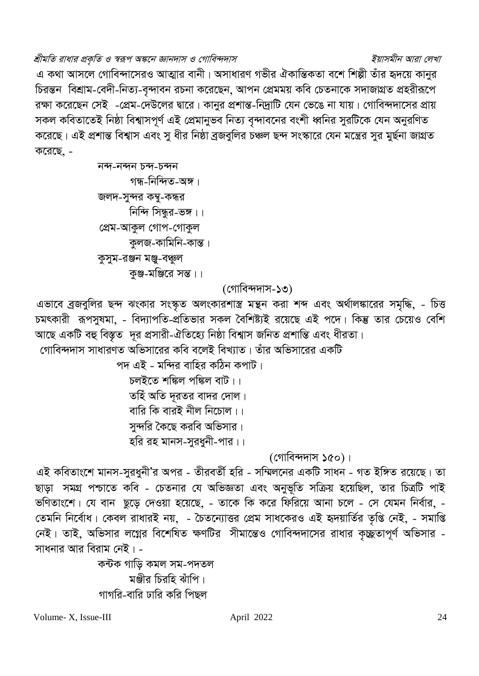## শ্রীমতি রাধার প্রকৃতি ও স্বরূপ অঙ্কনে জ্ঞানদাস ও গোবিন্দদাস

এ কথা আসলে গোবিন্দাসেরও আত্মার বানী। অসাধারণ গভীর ঐকান্তিকতা বশে শিল্পী তাঁর হৃদয়ে কানুর চিরন্তন বিশ্রাম-বেদী-নিত্য-বৃন্দাবন রচনা করেছেন, আপন প্রেমময় কবি চেতনাকে সদাজাগ্রত প্রহরীরূপে রক্ষা করেছেন সেই -প্রেম-দেউলের দ্বারে। কানুর প্রশান্ত-নিদ্রাটি যেন ভেঙে না যায়। গোবিন্দদাসের প্রায় সকল কবিতাতেই নিষ্ঠা বিশ্বাসপূর্ণ এই প্রেমানুভব নিত্য বন্দাবনের বংশী ধ্বনির সুরটিকে যেন অনুরণিত করেছে। এই প্রশান্ত বিশ্বাস এবং স ধীর নিষ্ঠা বজবলির চঞ্চল ছন্দ সংস্কারে যেন মন্ত্রের সর মর্ছনা জাগ্রত করেছে. -

```
নন্দ-নন্দন চন্দ-চন্দন
        গন্ধ-নিন্দিত-অঙ্গ।
জলদ-সুন্দর কম্বু-কন্ধর
       নিন্দি সিন্ধুর-ভঙ্গ।।
প্ৰেম-আকুল গোপ-গোকুল
       কুলজ-কামিনি-কান্ত।
কুসুম-রঞ্জন মঞ্জু-বধুঃল
       কুঞ্জ-মঞ্জিরে সন্ত।।
```
(গোবিন্দদাস-১৩)

এভাবে ব্রজবুলির ছন্দ ঝংকার সংস্কৃত অলংকারশাস্ত্র মন্থন করা শব্দ এবং অর্থালঙ্কারের সমৃদ্ধি, - চিত্ত চমৎকারী রূপসুষমা, - বিদ্যাপতি-প্রতিভার সকল বৈশিষ্ট্যই রয়েছে এই পদে। কিন্তু তার চেয়েও বেশি আছে একটি বহু বিস্তৃত দূর প্রসারী-ঐতিহ্যে নিষ্ঠা বিশ্বাস জনিত প্রশান্তি এবং ধীরতা।

গোবিন্দদাস সাধারণত অভিসারের কবি বলেই বিখ্যাত। তাঁর অভিসারের একটি

পদ এই - মন্দির বাহির কঠিন কপাট। চলইতে শঙ্কিল পঙ্কিল বাট।। তহিঁ অতি দূরতর বাদর দোল। বারি কি বারই নীল নিচোল।। সুন্দরি কৈছে করবি অভিসার।

হরি রহ মানস-সুরধুনী-পার।।

(গোবিন্দদাস ১৫০)।

এই কবিতাংশে মানস-সুরধুনী'র অপর - তীরবর্তী হরি - সম্মিলনের একটি সাধন - গত ইঙ্গিত রয়েছে। তা ছাড়া সমগ্র পশ্চাতে কবি - চেতনার যে অভিজ্ঞতা এবং অনুভূতি সক্রিয় হয়েছিল, তার চিত্রটি পাই ভণিতাংশে। যে বান ছুড়ে দেওয়া হয়েছে, - তাকে কি করে ফিরিয়ে আনা চলে - সে যেমন নির্বার, -তেমনি নির্বোধ। কেবল রাধারই নয়, - চৈতন্যোত্তর প্রেম সাধকেরও এই হৃদয়ার্তির তৃপ্তি নেই, - সমাপ্তি নেই। তাই, অভিসার লগ্নের বিশেষিত ক্ষণটির সীমান্তেও গোবিন্দদাসের রাধার কৃচ্ছ্রতাপূর্ণ অভিসার -সাধনার আর বিরাম নেই। -

> কন্টক গাড়ি কমল সম-পদতল মঞ্জীর চিরহি ঝাঁপি। গাগরি-বারি ঢারি করি পিছল

Volume-X. Issue-III

## ইয়াসমীন আরা লেখা